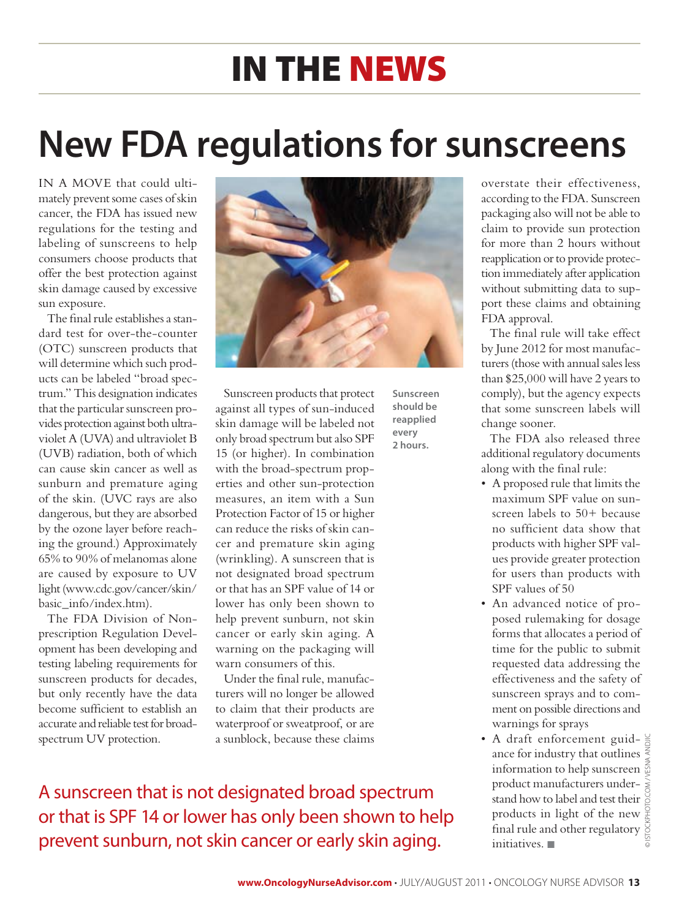## in the news

# **New FDA regulations for sunscreens**

IN A MOVE that could ultimately prevent some cases of skin cancer, the FDA has issued new regulations for the testing and labeling of sunscreens to help consumers choose products that offer the best protection against skin damage caused by excessive sun exposure.

The final rule establishes a standard test for over-the-counter (OTC) sunscreen products that will determine which such products can be labeled "broad spectrum." This designation indicates that the particular sunscreen provides protection against both ultraviolet A (UVA) and ultraviolet B (UVB) radiation, both of which can cause skin cancer as well as sunburn and premature aging of the skin. (UVC rays are also dangerous, but they are absorbed by the ozone layer before reaching the ground.) Approximately 65% to 90% of melanomas alone are caused by exposure to UV light (www.cdc.gov/cancer/skin/ basic\_info/index.htm).

The FDA Division of Nonprescription Regulation Development has been developing and testing labeling requirements for sunscreen products for decades, but only recently have the data become sufficient to establish an accurate and reliable test for broadspectrum UV protection.



**Sunscreen should be reapplied every 2 hours.**

Sunscreen products that protect against all types of sun-induced skin damage will be labeled not only broad spectrum but also SPF 15 (or higher). In combination with the broad-spectrum properties and other sun-protection measures, an item with a Sun Protection Factor of 15 or higher can reduce the risks of skin cancer and premature skin aging (wrinkling). A sunscreen that is not designated broad spectrum or that has an SPF value of 14 or lower has only been shown to help prevent sunburn, not skin cancer or early skin aging. A warning on the packaging will warn consumers of this.

Under the final rule, manufacturers will no longer be allowed to claim that their products are waterproof or sweatproof, or are a sunblock, because these claims

A sunscreen that is not designated broad spectrum or that is SPF 14 or lower has only been shown to help prevent sunburn, not skin cancer or early skin aging.

overstate their effectiveness, according to the FDA. Sunscreen packaging also will not be able to claim to provide sun protection for more than 2 hours without reapplication or to provide protection immediately after application without submitting data to support these claims and obtaining FDA approval.

The final rule will take effect by June 2012 for most manufacturers (those with annual sales less than \$25,000 will have 2 years to comply), but the agency expects that some sunscreen labels will change sooner.

The FDA also released three additional regulatory documents along with the final rule:

- • A proposed rule that limits the maximum SPF value on sunscreen labels to 50+ because no sufficient data show that products with higher SPF values provide greater protection for users than products with SPF values of 50
- An advanced notice of proposed rulemaking for dosage forms that allocates a period of time for the public to submit requested data addressing the effectiveness and the safety of sunscreen sprays and to comment on possible directions and warnings for sprays
- A draft enforcement guid- $\frac{6}{6}$ ance for industry that outlines  $\frac{2}{3}$ information to help sunscreen product manufacturers understand how to label and test their products in light of the new final rule and other regulatory initiatives.  $\blacksquare$ © istockphoto.com / Vesna Andjic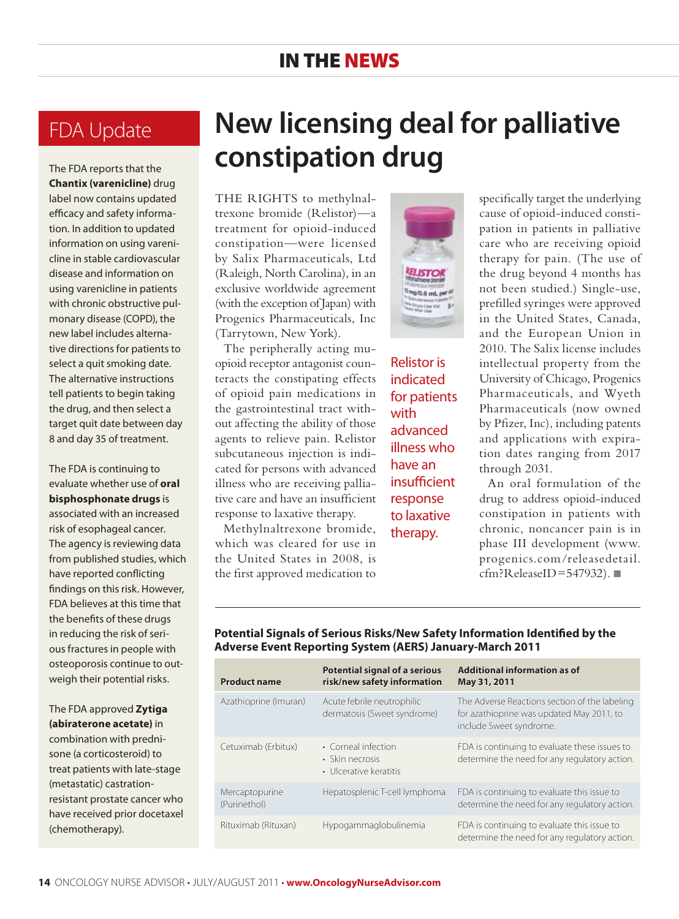#### in the news

#### FDA Update

The FDA reports that the **Chantix (varenicline)** drug label now contains updated efficacy and safety information. In addition to updated information on using varenicline in stable cardiovascular disease and information on using varenicline in patients with chronic obstructive pulmonary disease (COPD), the new label includes alternative directions for patients to select a quit smoking date. The alternative instructions tell patients to begin taking the drug, and then select a target quit date between day 8 and day 35 of treatment.

The FDA is continuing to evaluate whether use of **oral bisphosphonate drugs** is associated with an increased risk of esophageal cancer. The agency is reviewing data from published studies, which have reported conflicting findings on this risk. However, FDA believes at this time that the benefits of these drugs in reducing the risk of serious fractures in people with osteoporosis continue to outweigh their potential risks.

The FDA approved **Zytiga (abiraterone acetate)** in combination with prednisone (a corticosteroid) to treat patients with late-stage (metastatic) castrationresistant prostate cancer who have received prior docetaxel (chemotherapy).

### **New licensing deal for palliative constipation drug**

THE RIGHTS to methylnaltrexone bromide (Relistor)—a treatment for opioid-induced constipation—were licensed by Salix Pharmaceuticals, Ltd (Raleigh, North Carolina), in an exclusive worldwide agreement (with the exception of Japan) with Progenics Pharmaceuticals, Inc (Tarrytown, New York).

The peripherally acting muopioid receptor antagonist counteracts the constipating effects of opioid pain medications in the gastrointestinal tract without affecting the ability of those agents to relieve pain. Relistor subcutaneous injection is indicated for persons with advanced illness who are receiving palliative care and have an insufficient response to laxative therapy.

Methylnaltrexone bromide, which was cleared for use in the United States in 2008, is the first approved medication to



Relistor is indicated for patients with advanced illness who have an insufficient response to laxative therapy.

specifically target the underlying cause of opioid-induced constipation in patients in palliative care who are receiving opioid therapy for pain. (The use of the drug beyond 4 months has not been studied.) Single-use, prefilled syringes were approved in the United States, Canada, and the European Union in 2010. The Salix license includes intellectual property from the University of Chicago, Progenics Pharmaceuticals, and Wyeth Pharmaceuticals (now owned by Pfizer, Inc), including patents and applications with expiration dates ranging from 2017 through 2031.

An oral formulation of the drug to address opioid-induced constipation in patients with chronic, noncancer pain is in phase III development (www. progenics.com/releasedetail.  $cfm?ReleaseID=547932).$ 

| <b>Product name</b>            | <b>Potential signal of a serious</b><br>risk/new safety information | <b>Additional information as of</b><br>May 31, 2011                                                                   |
|--------------------------------|---------------------------------------------------------------------|-----------------------------------------------------------------------------------------------------------------------|
| Azathioprine (Imuran)          | Acute febrile neutrophilic<br>dermatosis (Sweet syndrome)           | The Adverse Reactions section of the labeling<br>for azathioprine was updated May 2011, to<br>include Sweet syndrome. |
| Cetuximab (Erbitux)            | • Corneal infection<br>• Skin necrosis<br>• Ulcerative keratitis    | FDA is continuing to evaluate these issues to<br>determine the need for any regulatory action.                        |
| Mercaptopurine<br>(Purinethol) | Hepatosplenic T-cell lymphoma                                       | FDA is continuing to evaluate this issue to<br>determine the need for any regulatory action.                          |
| Rituximab (Rituxan)            | Hypogammaglobulinemia                                               | FDA is continuing to evaluate this issue to<br>determine the need for any regulatory action.                          |

#### **Potential Signals of Serious Risks/New Safety Information Identified by the Adverse Event Reporting System (AERS) January-March 2011**